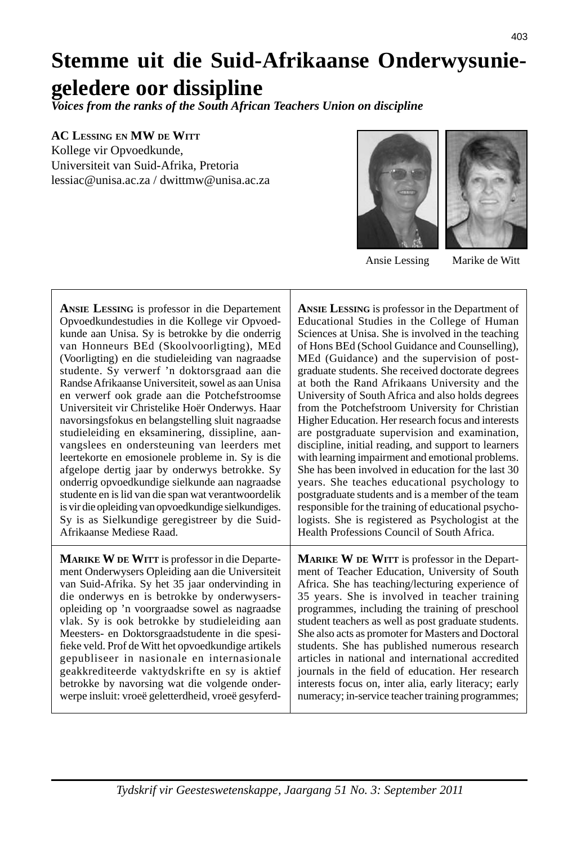# **Stemme uit die Suid-Afrikaanse Onderwysuniegeledere oor dissipline**

*Voices from the ranks of the South African Teachers Union on discipline*

**AC LESSING EN MW DE WITT**

Kollege vir Opvoedkunde, Universiteit van Suid-Afrika, Pretoria lessiac@unisa.ac.za / dwittmw@unisa.ac.za





**ANSIE LESSING** is professor in die Departement Opvoedkundestudies in die Kollege vir Opvoedkunde aan Unisa. Sy is betrokke by die onderrig van Honneurs BEd (Skoolvoorligting), MEd (Voorligting) en die studieleiding van nagraadse studente. Sy verwerf 'n doktorsgraad aan die Randse Afrikaanse Universiteit, sowel as aan Unisa en verwerf ook grade aan die Potchefstroomse Universiteit vir Christelike Hoër Onderwys. Haar navorsingsfokus en belangstelling sluit nagraadse studieleiding en eksaminering, dissipline, aanvangslees en ondersteuning van leerders met leertekorte en emosionele probleme in. Sy is die afgelope dertig jaar by onderwys betrokke. Sy onderrig opvoedkundige sielkunde aan nagraadse studente en is lid van die span wat verantwoordelik is vir die opleiding van opvoedkundige sielkundiges. Sy is as Sielkundige geregistreer by die Suid-Afrikaanse Mediese Raad.

**MARIKE W DE WITT** is professor in die Departement Onderwysers Opleiding aan die Universiteit van Suid-Afrika. Sy het 35 jaar ondervinding in die onderwys en is betrokke by onderwysersopleiding op 'n voorgraadse sowel as nagraadse vlak. Sy is ook betrokke by studieleiding aan Meesters- en Doktorsgraadstudente in die spesifieke veld. Prof de Witt het opvoedkundige artikels gepubliseer in nasionale en internasionale geakkrediteerde vaktydskrifte en sy is aktief betrokke by navorsing wat die volgende onderwerpe insluit: vroeë geletterdheid, vroeë gesyferd**ANSIE LESSING** is professor in the Department of Educational Studies in the College of Human Sciences at Unisa. She is involved in the teaching of Hons BEd (School Guidance and Counselling), MEd (Guidance) and the supervision of postgraduate students. She received doctorate degrees at both the Rand Afrikaans University and the University of South Africa and also holds degrees from the Potchefstroom University for Christian Higher Education. Her research focus and interests are postgraduate supervision and examination, discipline, initial reading, and support to learners with learning impairment and emotional problems. She has been involved in education for the last 30 years. She teaches educational psychology to postgraduate students and is a member of the team responsible for the training of educational psychologists. She is registered as Psychologist at the Health Professions Council of South Africa.

**MARIKE W DE WITT** is professor in the Department of Teacher Education, University of South Africa. She has teaching/lecturing experience of 35 years. She is involved in teacher training programmes, including the training of preschool student teachers as well as post graduate students. She also acts as promoter for Masters and Doctoral students. She has published numerous research articles in national and international accredited journals in the field of education. Her research interests focus on, inter alia, early literacy; early numeracy; in-service teacher training programmes;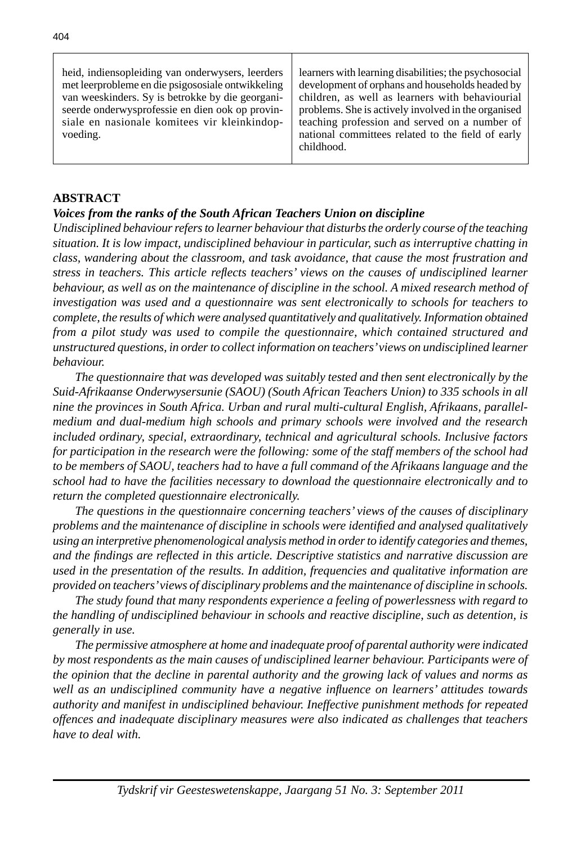## **ABSTRACT**

## *Voices from the ranks of the South African Teachers Union on discipline*

*Undisciplined behaviour refers to learner behaviour that disturbs the orderly course of the teaching situation. It is low impact, undisciplined behaviour in particular, such as interruptive chatting in class, wandering about the classroom, and task avoidance, that cause the most frustration and stress in teachers. This article refl ects teachers' views on the causes of undisciplined learner behaviour, as well as on the maintenance of discipline in the school. A mixed research method of investigation was used and a questionnaire was sent electronically to schools for teachers to complete, the results of which were analysed quantitatively and qualitatively. Information obtained from a pilot study was used to compile the questionnaire, which contained structured and unstructured questions, in order to collect information on teachers' views on undisciplined learner behaviour.* 

 *The questionnaire that was developed was suitably tested and then sent electronically by the Suid-Afrikaanse Onderwysersunie (SAOU) (South African Teachers Union) to 335 schools in all nine the provinces in South Africa. Urban and rural multi-cultural English, Afrikaans, parallelmedium and dual-medium high schools and primary schools were involved and the research included ordinary, special, extraordinary, technical and agricultural schools. Inclusive factors for participation in the research were the following: some of the staff members of the school had to be members of SAOU, teachers had to have a full command of the Afrikaans language and the school had to have the facilities necessary to download the questionnaire electronically and to return the completed questionnaire electronically.*

 *The questions in the questionnaire concerning teachers' views of the causes of disciplinary problems and the maintenance of discipline in schools were identifi ed and analysed qualitatively using an interpretive phenomenological analysis method in order to identify categories and themes, and the fi ndings are refl ected in this article. Descriptive statistics and narrative discussion are used in the presentation of the results. In addition, frequencies and qualitative information are provided on teachers' views of disciplinary problems and the maintenance of discipline in schools.*

 *The study found that many respondents experience a feeling of powerlessness with regard to the handling of undisciplined behaviour in schools and reactive discipline, such as detention, is generally in use.* 

 *The permissive atmosphere at home and inadequate proof of parental authority were indicated by most respondents as the main causes of undisciplined learner behaviour. Participants were of the opinion that the decline in parental authority and the growing lack of values and norms as well as an undisciplined community have a negative infl uence on learners' attitudes towards authority and manifest in undisciplined behaviour. Ineffective punishment methods for repeated offences and inadequate disciplinary measures were also indicated as challenges that teachers have to deal with.*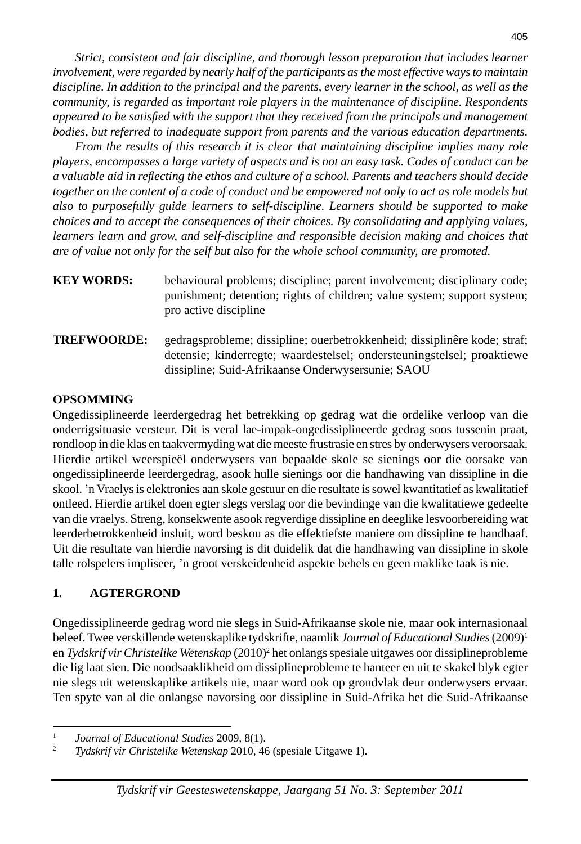*Strict, consistent and fair discipline, and thorough lesson preparation that includes learner involvement, were regarded by nearly half of the participants as the most effective ways to maintain discipline. In addition to the principal and the parents, every learner in the school, as well as the community, is regarded as important role players in the maintenance of discipline. Respondents appeared to be satisfi ed with the support that they received from the principals and management bodies, but referred to inadequate support from parents and the various education departments.*

 *From the results of this research it is clear that maintaining discipline implies many role players, encompasses a large variety of aspects and is not an easy task. Codes of conduct can be a valuable aid in refl ecting the ethos and culture of a school. Parents and teachers should decide together on the content of a code of conduct and be empowered not only to act as role models but also to purposefully guide learners to self-discipline. Learners should be supported to make choices and to accept the consequences of their choices. By consolidating and applying values, learners learn and grow, and self-discipline and responsible decision making and choices that are of value not only for the self but also for the whole school community, are promoted.* 

- **KEY WORDS:** behavioural problems; discipline; parent involvement; disciplinary code; punishment; detention; rights of children; value system; support system; pro active discipline
- **TREFWOORDE:** gedragsprobleme; dissipline; ouerbetrokkenheid; dissiplinêre kode; straf; detensie; kinderregte; waardestelsel; ondersteuningstelsel; proaktiewe dissipline; Suid-Afrikaanse Onderwysersunie; SAOU

# **OPSOMMING**

Ongedissiplineerde leerdergedrag het betrekking op gedrag wat die ordelike verloop van die onderrigsituasie versteur. Dit is veral lae-impak-ongedissiplineerde gedrag soos tussenin praat, rondloop in die klas en taakvermyding wat die meeste frustrasie en stres by onderwysers veroorsaak. Hierdie artikel weerspieël onderwysers van bepaalde skole se sienings oor die oorsake van ongedissiplineerde leerdergedrag, asook hulle sienings oor die handhawing van dissipline in die skool. 'n Vraelys is elektronies aan skole gestuur en die resultate is sowel kwantitatief as kwalitatief ontleed. Hierdie artikel doen egter slegs verslag oor die bevindinge van die kwalitatiewe gedeelte van die vraelys. Streng, konsekwente asook regverdige dissipline en deeglike lesvoorbereiding wat leerderbetrokkenheid insluit, word beskou as die effektiefste maniere om dissipline te handhaaf. Uit die resultate van hierdie navorsing is dit duidelik dat die handhawing van dissipline in skole talle rolspelers impliseer, 'n groot verskeidenheid aspekte behels en geen maklike taak is nie.

# **1. AGTERGROND**

Ongedissiplineerde gedrag word nie slegs in Suid-Afrikaanse skole nie, maar ook internasionaal beleef. Twee verskillende wetenskaplike tydskrifte, naamlik *Journal of Educational Studies* (2009)1 en *Tydskrif vir Christelike Wetenskap* (2010)<sup>2</sup> het onlangs spesiale uitgawes oor dissiplineprobleme die lig laat sien. Die noodsaaklikheid om dissiplineprobleme te hanteer en uit te skakel blyk egter nie slegs uit wetenskaplike artikels nie, maar word ook op grondvlak deur onderwysers ervaar. Ten spyte van al die onlangse navorsing oor dissipline in Suid-Afrika het die Suid-Afrikaanse

<sup>1</sup> *Journal of Educational Studies* 2009*,* 8(1).

<sup>2</sup> *Tydskrif vir Christelike Wetenskap* 2010*,* 46 (spesiale Uitgawe 1).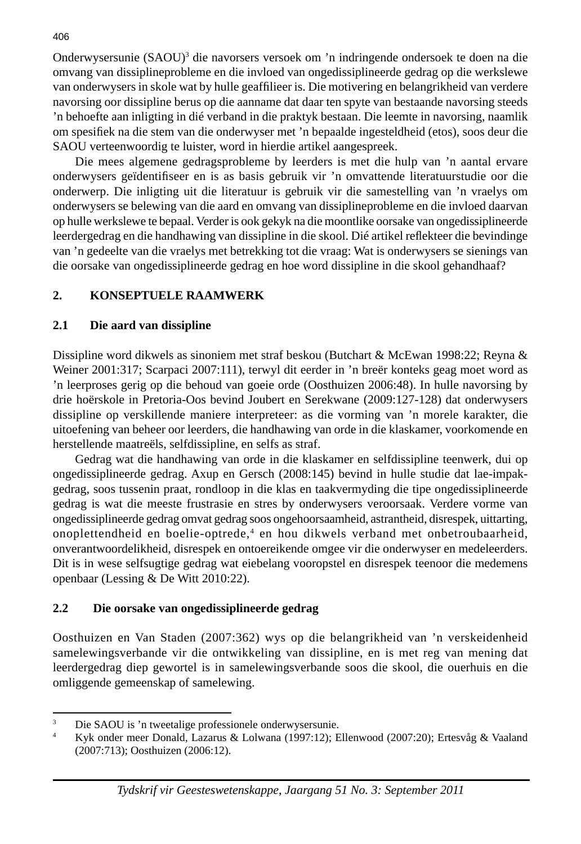Onderwysersunie (SAOU)<sup>3</sup> die navorsers versoek om 'n indringende ondersoek te doen na die omvang van dissiplineprobleme en die invloed van ongedissiplineerde gedrag op die werkslewe van onderwysers in skole wat by hulle geaffilieer is. Die motivering en belangrikheid van verdere navorsing oor dissipline berus op die aanname dat daar ten spyte van bestaande navorsing steeds 'n behoefte aan inligting in dié verband in die praktyk bestaan. Die leemte in navorsing, naamlik om spesifiek na die stem van die onderwyser met 'n bepaalde ingesteldheid (etos), soos deur die SAOU verteenwoordig te luister, word in hierdie artikel aangespreek.

 Die mees algemene gedragsprobleme by leerders is met die hulp van 'n aantal ervare onderwysers geïdentifi seer en is as basis gebruik vir 'n omvattende literatuurstudie oor die onderwerp. Die inligting uit die literatuur is gebruik vir die samestelling van 'n vraelys om onderwysers se belewing van die aard en omvang van dissiplineprobleme en die invloed daarvan op hulle werkslewe te bepaal. Verder is ook gekyk na die moontlike oorsake van ongedissiplineerde leerdergedrag en die handhawing van dissipline in die skool. Dié artikel reflekteer die bevindinge van 'n gedeelte van die vraelys met betrekking tot die vraag: Wat is onderwysers se sienings van die oorsake van ongedissiplineerde gedrag en hoe word dissipline in die skool gehandhaaf?

# **2. KONSEPTUELE RAAMWERK**

#### **2.1 Die aard van dissipline**

Dissipline word dikwels as sinoniem met straf beskou (Butchart & McEwan 1998:22; Reyna & Weiner 2001:317; Scarpaci 2007:111), terwyl dit eerder in 'n breër konteks geag moet word as 'n leerproses gerig op die behoud van goeie orde (Oosthuizen 2006:48). In hulle navorsing by drie hoërskole in Pretoria-Oos bevind Joubert en Serekwane (2009:127-128) dat onderwysers dissipline op verskillende maniere interpreteer: as die vorming van 'n morele karakter, die uitoefening van beheer oor leerders, die handhawing van orde in die klaskamer, voorkomende en herstellende maatreëls, selfdissipline, en selfs as straf.

 Gedrag wat die handhawing van orde in die klaskamer en selfdissipline teenwerk, dui op ongedissiplineerde gedrag. Axup en Gersch (2008:145) bevind in hulle studie dat lae-impakgedrag, soos tussenin praat, rondloop in die klas en taakvermyding die tipe ongedissiplineerde gedrag is wat die meeste frustrasie en stres by onderwysers veroorsaak. Verdere vorme van ongedissiplineerde gedrag omvat gedrag soos ongehoorsaamheid, astrantheid, disrespek, uittarting, onoplettendheid en boelie-optrede,4 en hou dikwels verband met onbetroubaarheid, onverantwoordelikheid, disrespek en ontoereikende omgee vir die onderwyser en medeleerders. Dit is in wese selfsugtige gedrag wat eiebelang vooropstel en disrespek teenoor die medemens openbaar (Lessing & De Witt 2010:22).

## **2.2 Die oorsake van ongedissiplineerde gedrag**

Oosthuizen en Van Staden (2007:362) wys op die belangrikheid van 'n verskeidenheid samelewingsverbande vir die ontwikkeling van dissipline, en is met reg van mening dat leerdergedrag diep gewortel is in samelewingsverbande soos die skool, die ouerhuis en die omliggende gemeenskap of samelewing.

<sup>3</sup> Die SAOU is 'n tweetalige professionele onderwysersunie.

<sup>4</sup> Kyk onder meer Donald, Lazarus & Lolwana (1997:12); Ellenwood (2007:20); Ertesvåg & Vaaland (2007:713); Oosthuizen (2006:12).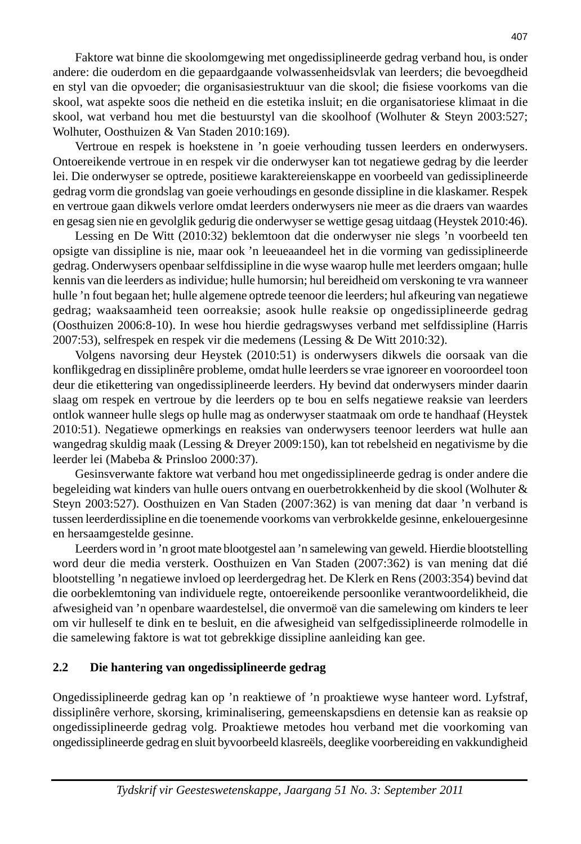Faktore wat binne die skoolomgewing met ongedissiplineerde gedrag verband hou, is onder andere: die ouderdom en die gepaardgaande volwassenheidsvlak van leerders; die bevoegdheid en styl van die opvoeder; die organisasiestruktuur van die skool; die fisiese voorkoms van die skool, wat aspekte soos die netheid en die estetika insluit; en die organisatoriese klimaat in die skool, wat verband hou met die bestuurstyl van die skoolhoof (Wolhuter & Steyn 2003:527; Wolhuter, Oosthuizen & Van Staden 2010:169).

 Vertroue en respek is hoekstene in 'n goeie verhouding tussen leerders en onderwysers. Ontoereikende vertroue in en respek vir die onderwyser kan tot negatiewe gedrag by die leerder lei. Die onderwyser se optrede, positiewe karaktereienskappe en voorbeeld van gedissiplineerde gedrag vorm die grondslag van goeie verhoudings en gesonde dissipline in die klaskamer. Respek en vertroue gaan dikwels verlore omdat leerders onderwysers nie meer as die draers van waardes en gesag sien nie en gevolglik gedurig die onderwyser se wettige gesag uitdaag (Heystek 2010:46).

 Lessing en De Witt (2010:32) beklemtoon dat die onderwyser nie slegs 'n voorbeeld ten opsigte van dissipline is nie, maar ook 'n leeueaandeel het in die vorming van gedissiplineerde gedrag. Onderwysers openbaar selfdissipline in die wyse waarop hulle met leerders omgaan; hulle kennis van die leerders as individue; hulle humorsin; hul bereidheid om verskoning te vra wanneer hulle 'n fout begaan het; hulle algemene optrede teenoor die leerders; hul afkeuring van negatiewe gedrag; waaksaamheid teen oorreaksie; asook hulle reaksie op ongedissiplineerde gedrag (Oosthuizen 2006:8-10). In wese hou hierdie gedragswyses verband met selfdissipline (Harris 2007:53), selfrespek en respek vir die medemens (Lessing & De Witt 2010:32).

 Volgens navorsing deur Heystek (2010:51) is onderwysers dikwels die oorsaak van die konflikgedrag en dissiplinêre probleme, omdat hulle leerders se vrae ignoreer en vooroordeel toon deur die etikettering van ongedissiplineerde leerders. Hy bevind dat onderwysers minder daarin slaag om respek en vertroue by die leerders op te bou en selfs negatiewe reaksie van leerders ontlok wanneer hulle slegs op hulle mag as onderwyser staatmaak om orde te handhaaf (Heystek 2010:51). Negatiewe opmerkings en reaksies van onderwysers teenoor leerders wat hulle aan wangedrag skuldig maak (Lessing & Dreyer 2009:150), kan tot rebelsheid en negativisme by die leerder lei (Mabeba & Prinsloo 2000:37).

 Gesinsverwante faktore wat verband hou met ongedissiplineerde gedrag is onder andere die begeleiding wat kinders van hulle ouers ontvang en ouerbetrokkenheid by die skool (Wolhuter & Steyn 2003:527). Oosthuizen en Van Staden (2007:362) is van mening dat daar 'n verband is tussen leerderdissipline en die toenemende voorkoms van verbrokkelde gesinne, enkelouergesinne en hersaamgestelde gesinne.

 Leerders word in 'n groot mate blootgestel aan 'n samelewing van geweld. Hierdie blootstelling word deur die media versterk. Oosthuizen en Van Staden (2007:362) is van mening dat dié blootstelling 'n negatiewe invloed op leerdergedrag het. De Klerk en Rens (2003:354) bevind dat die oorbeklemtoning van individuele regte, ontoereikende persoonlike verantwoordelikheid, die afwesigheid van 'n openbare waardestelsel, die onvermoë van die samelewing om kinders te leer om vir hulleself te dink en te besluit, en die afwesigheid van selfgedissiplineerde rolmodelle in die samelewing faktore is wat tot gebrekkige dissipline aanleiding kan gee.

## **2.2 Die hantering van ongedissiplineerde gedrag**

Ongedissiplineerde gedrag kan op 'n reaktiewe of 'n proaktiewe wyse hanteer word. Lyfstraf, dissiplinêre verhore, skorsing, kriminalisering, gemeenskapsdiens en detensie kan as reaksie op ongedissiplineerde gedrag volg. Proaktiewe metodes hou verband met die voorkoming van ongedissiplineerde gedrag en sluit byvoorbeeld klasreëls, deeglike voorbereiding en vakkundigheid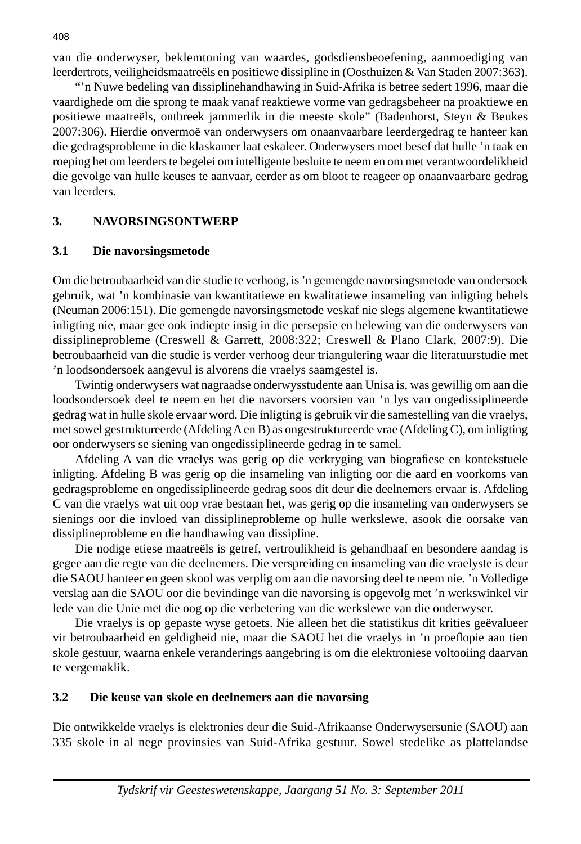van die onderwyser, beklemtoning van waardes, godsdiensbeoefening, aanmoediging van leerdertrots, veiligheidsmaatreëls en positiewe dissipline in (Oosthuizen & Van Staden 2007:363).

 "'n Nuwe bedeling van dissiplinehandhawing in Suid-Afrika is betree sedert 1996, maar die vaardighede om die sprong te maak vanaf reaktiewe vorme van gedragsbeheer na proaktiewe en positiewe maatreëls, ontbreek jammerlik in die meeste skole" (Badenhorst, Steyn & Beukes 2007:306). Hierdie onvermoë van onderwysers om onaanvaarbare leerdergedrag te hanteer kan die gedragsprobleme in die klaskamer laat eskaleer. Onderwysers moet besef dat hulle 'n taak en roeping het om leerders te begelei om intelligente besluite te neem en om met verantwoordelikheid die gevolge van hulle keuses te aanvaar, eerder as om bloot te reageer op onaanvaarbare gedrag van leerders.

## **3. NAVORSINGSONTWERP**

#### **3.1 Die navorsingsmetode**

Om die betroubaarheid van die studie te verhoog, is 'n gemengde navorsingsmetode van ondersoek gebruik, wat 'n kombinasie van kwantitatiewe en kwalitatiewe insameling van inligting behels (Neuman 2006:151). Die gemengde navorsingsmetode veskaf nie slegs algemene kwantitatiewe inligting nie, maar gee ook indiepte insig in die persepsie en belewing van die onderwysers van dissiplineprobleme (Creswell & Garrett, 2008:322; Creswell & Plano Clark, 2007:9). Die betroubaarheid van die studie is verder verhoog deur triangulering waar die literatuurstudie met 'n loodsondersoek aangevul is alvorens die vraelys saamgestel is.

 Twintig onderwysers wat nagraadse onderwysstudente aan Unisa is, was gewillig om aan die loodsondersoek deel te neem en het die navorsers voorsien van 'n lys van ongedissiplineerde gedrag wat in hulle skole ervaar word. Die inligting is gebruik vir die samestelling van die vraelys, met sowel gestruktureerde (Afdeling A en B) as ongestruktureerde vrae (Afdeling C), om inligting oor onderwysers se siening van ongedissiplineerde gedrag in te samel.

Afdeling A van die vraelys was gerig op die verkryging van biografiese en kontekstuele inligting. Afdeling B was gerig op die insameling van inligting oor die aard en voorkoms van gedragsprobleme en ongedissiplineerde gedrag soos dit deur die deelnemers ervaar is. Afdeling C van die vraelys wat uit oop vrae bestaan het, was gerig op die insameling van onderwysers se sienings oor die invloed van dissiplineprobleme op hulle werkslewe, asook die oorsake van dissiplineprobleme en die handhawing van dissipline.

 Die nodige etiese maatreëls is getref, vertroulikheid is gehandhaaf en besondere aandag is gegee aan die regte van die deelnemers. Die verspreiding en insameling van die vraelyste is deur die SAOU hanteer en geen skool was verplig om aan die navorsing deel te neem nie. 'n Volledige verslag aan die SAOU oor die bevindinge van die navorsing is opgevolg met 'n werkswinkel vir lede van die Unie met die oog op die verbetering van die werkslewe van die onderwyser.

 Die vraelys is op gepaste wyse getoets. Nie alleen het die statistikus dit krities geëvalueer vir betroubaarheid en geldigheid nie, maar die SAOU het die vraelys in 'n proeflopie aan tien skole gestuur, waarna enkele veranderings aangebring is om die elektroniese voltooiing daarvan te vergemaklik.

## **3.2 Die keuse van skole en deelnemers aan die navorsing**

Die ontwikkelde vraelys is elektronies deur die Suid-Afrikaanse Onderwysersunie (SAOU) aan 335 skole in al nege provinsies van Suid-Afrika gestuur. Sowel stedelike as plattelandse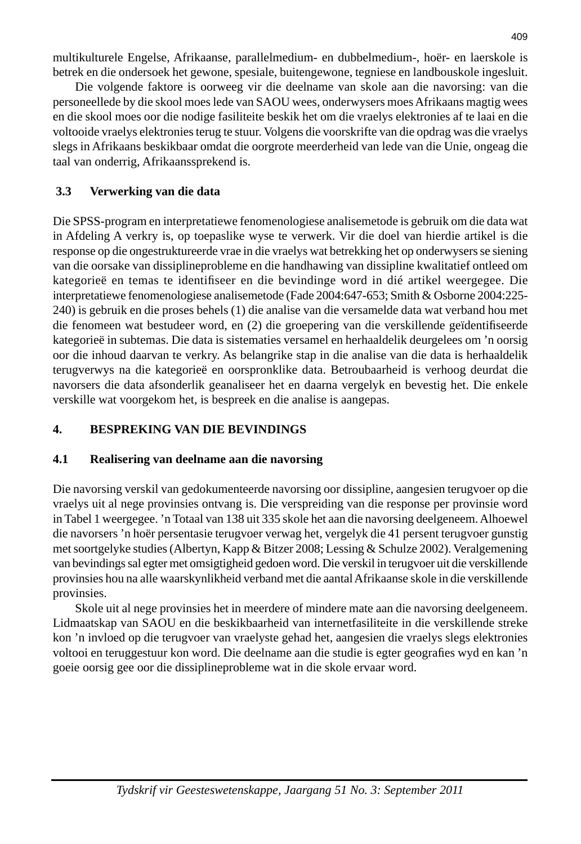multikulturele Engelse, Afrikaanse, parallelmedium- en dubbelmedium-, hoër- en laerskole is betrek en die ondersoek het gewone, spesiale, buitengewone, tegniese en landbouskole ingesluit.

Die volgende faktore is oorweeg vir die deelname van skole aan die navorsing: van die personeellede by die skool moes lede van SAOU wees, onderwysers moes Afrikaans magtig wees en die skool moes oor die nodige fasiliteite beskik het om die vraelys elektronies af te laai en die voltooide vraelys elektronies terug te stuur. Volgens die voorskrifte van die opdrag was die vraelys slegs in Afrikaans beskikbaar omdat die oorgrote meerderheid van lede van die Unie, ongeag die taal van onderrig, Afrikaanssprekend is.

# **3.3 Verwerking van die data**

Die SPSS-program en interpretatiewe fenomenologiese analisemetode is gebruik om die data wat in Afdeling A verkry is, op toepaslike wyse te verwerk. Vir die doel van hierdie artikel is die response op die ongestruktureerde vrae in die vraelys wat betrekking het op onderwysers se siening van die oorsake van dissiplineprobleme en die handhawing van dissipline kwalitatief ontleed om kategorieë en temas te identifiseer en die bevindinge word in dié artikel weergegee. Die interpretatiewe fenomenologiese analisemetode (Fade 2004:647-653; Smith & Osborne 2004:225- 240) is gebruik en die proses behels (1) die analise van die versamelde data wat verband hou met die fenomeen wat bestudeer word, en (2) die groepering van die verskillende geïdentifiseerde kategorieë in subtemas. Die data is sistematies versamel en herhaaldelik deurgelees om 'n oorsig oor die inhoud daarvan te verkry. As belangrike stap in die analise van die data is herhaaldelik terugverwys na die kategorieë en oorspronklike data. Betroubaarheid is verhoog deurdat die navorsers die data afsonderlik geanaliseer het en daarna vergelyk en bevestig het. Die enkele verskille wat voorgekom het, is bespreek en die analise is aangepas.

# **4. BESPREKING VAN DIE BEVINDINGS**

# **4.1 Realisering van deelname aan die navorsing**

Die navorsing verskil van gedokumenteerde navorsing oor dissipline, aangesien terugvoer op die vraelys uit al nege provinsies ontvang is. Die verspreiding van die response per provinsie word in Tabel 1 weergegee. 'n Totaal van 138 uit 335 skole het aan die navorsing deelgeneem. Alhoewel die navorsers 'n hoër persentasie terugvoer verwag het, vergelyk die 41 persent terugvoer gunstig met soortgelyke studies (Albertyn, Kapp & Bitzer 2008; Lessing & Schulze 2002). Veralgemening van bevindings sal egter met omsigtigheid gedoen word. Die verskil in terugvoer uit die verskillende provinsies hou na alle waarskynlikheid verband met die aantal Afrikaanse skole in die verskillende provinsies.

 Skole uit al nege provinsies het in meerdere of mindere mate aan die navorsing deelgeneem. Lidmaatskap van SAOU en die beskikbaarheid van internetfasiliteite in die verskillende streke kon 'n invloed op die terugvoer van vraelyste gehad het, aangesien die vraelys slegs elektronies voltooi en teruggestuur kon word. Die deelname aan die studie is egter geografies wyd en kan 'n goeie oorsig gee oor die dissiplineprobleme wat in die skole ervaar word.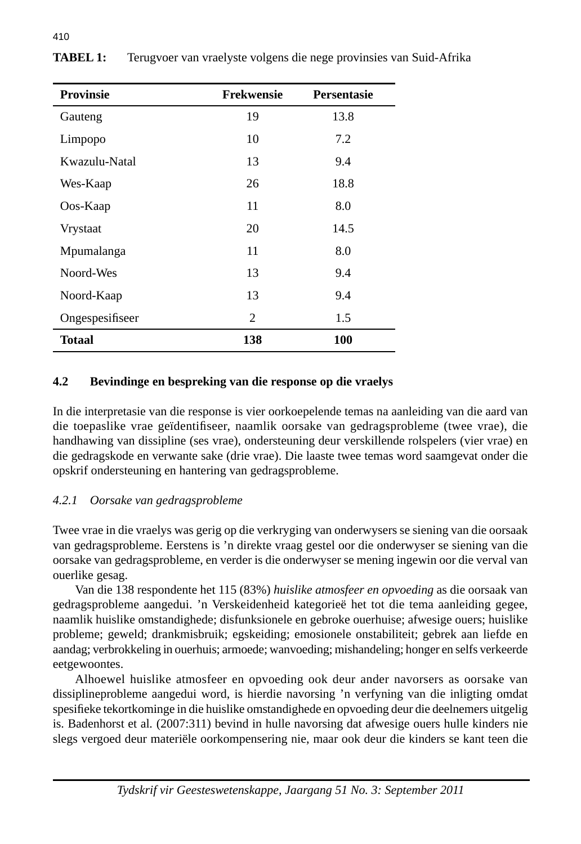| <b>Provinsie</b> | <b>Frekwensie</b> | <b>Persentasie</b> |
|------------------|-------------------|--------------------|
| Gauteng          | 19                | 13.8               |
| Limpopo          | 10                | 7.2                |
| Kwazulu-Natal    | 13                | 9.4                |
| Wes-Kaap         | 26                | 18.8               |
| Oos-Kaap         | 11                | 8.0                |
| <b>Vrystaat</b>  | 20                | 14.5               |
| Mpumalanga       | 11                | 8.0                |
| Noord-Wes        | 13                | 9.4                |
| Noord-Kaap       | 13                | 9.4                |
| Ongespesifiseer  | 2                 | 1.5                |
| <b>Totaal</b>    | 138               | 100                |

**TABEL 1:** Terugvoer van vraelyste volgens die nege provinsies van Suid-Afrika

## **4.2 Bevindinge en bespreking van die response op die vraelys**

In die interpretasie van die response is vier oorkoepelende temas na aanleiding van die aard van die toepaslike vrae geïdentifiseer, naamlik oorsake van gedragsprobleme (twee vrae), die handhawing van dissipline (ses vrae), ondersteuning deur verskillende rolspelers (vier vrae) en die gedragskode en verwante sake (drie vrae). Die laaste twee temas word saamgevat onder die opskrif ondersteuning en hantering van gedragsprobleme.

# *4.2.1 Oorsake van gedragsprobleme*

Twee vrae in die vraelys was gerig op die verkryging van onderwysers se siening van die oorsaak van gedragsprobleme. Eerstens is 'n direkte vraag gestel oor die onderwyser se siening van die oorsake van gedragsprobleme, en verder is die onderwyser se mening ingewin oor die verval van ouerlike gesag.

 Van die 138 respondente het 115 (83%) *huislike atmosfeer en opvoeding* as die oorsaak van gedragsprobleme aangedui. 'n Verskeidenheid kategorieë het tot die tema aanleiding gegee, naamlik huislike omstandighede; disfunksionele en gebroke ouerhuise; afwesige ouers; huislike probleme; geweld; drankmisbruik; egskeiding; emosionele onstabiliteit; gebrek aan liefde en aandag; verbrokkeling in ouerhuis; armoede; wanvoeding; mishandeling; honger en selfs verkeerde eetgewoontes.

 Alhoewel huislike atmosfeer en opvoeding ook deur ander navorsers as oorsake van dissiplineprobleme aangedui word, is hierdie navorsing 'n verfyning van die inligting omdat spesifi eke tekortkominge in die huislike omstandighede en opvoeding deur die deelnemers uitgelig is. Badenhorst et al*.* (2007:311) bevind in hulle navorsing dat afwesige ouers hulle kinders nie slegs vergoed deur materiële oorkompensering nie, maar ook deur die kinders se kant teen die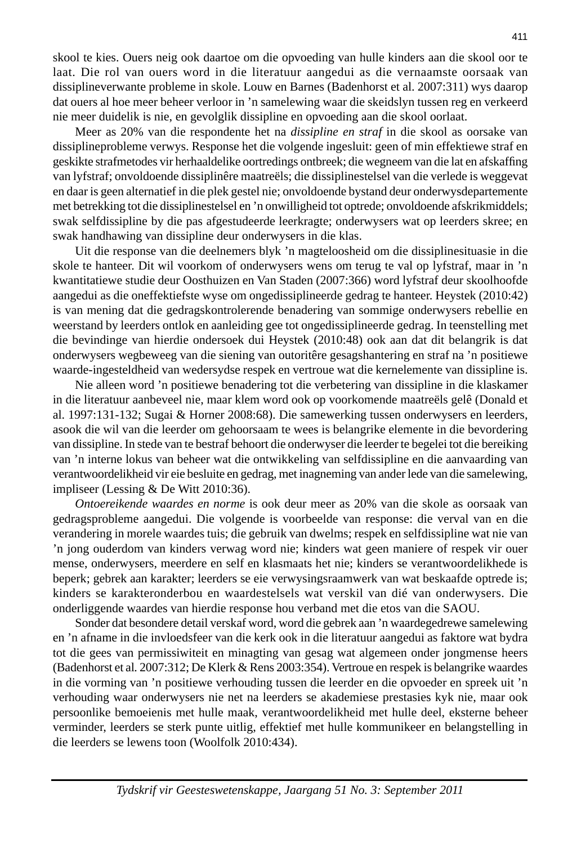skool te kies. Ouers neig ook daartoe om die opvoeding van hulle kinders aan die skool oor te laat. Die rol van ouers word in die literatuur aangedui as die vernaamste oorsaak van dissiplineverwante probleme in skole. Louw en Barnes (Badenhorst et al. 2007:311) wys daarop dat ouers al hoe meer beheer verloor in 'n samelewing waar die skeidslyn tussen reg en verkeerd nie meer duidelik is nie, en gevolglik dissipline en opvoeding aan die skool oorlaat.

 Meer as 20% van die respondente het na *dissipline en straf* in die skool as oorsake van dissiplineprobleme verwys. Response het die volgende ingesluit: geen of min effektiewe straf en geskikte strafmetodes vir herhaaldelike oortredings ontbreek; die wegneem van die lat en afskaffing van lyfstraf; onvoldoende dissiplinêre maatreëls; die dissiplinestelsel van die verlede is weggevat en daar is geen alternatief in die plek gestel nie; onvoldoende bystand deur onderwysdepartemente met betrekking tot die dissiplinestelsel en 'n onwilligheid tot optrede; onvoldoende afskrikmiddels; swak selfdissipline by die pas afgestudeerde leerkragte; onderwysers wat op leerders skree; en swak handhawing van dissipline deur onderwysers in die klas.

 Uit die response van die deelnemers blyk 'n magteloosheid om die dissiplinesituasie in die skole te hanteer. Dit wil voorkom of onderwysers wens om terug te val op lyfstraf, maar in 'n kwantitatiewe studie deur Oosthuizen en Van Staden (2007:366) word lyfstraf deur skoolhoofde aangedui as die oneffektiefste wyse om ongedissiplineerde gedrag te hanteer. Heystek (2010:42) is van mening dat die gedragskontrolerende benadering van sommige onderwysers rebellie en weerstand by leerders ontlok en aanleiding gee tot ongedissiplineerde gedrag. In teenstelling met die bevindinge van hierdie ondersoek dui Heystek (2010:48) ook aan dat dit belangrik is dat onderwysers wegbeweeg van die siening van outoritêre gesagshantering en straf na 'n positiewe waarde-ingesteldheid van wedersydse respek en vertroue wat die kernelemente van dissipline is.

 Nie alleen word 'n positiewe benadering tot die verbetering van dissipline in die klaskamer in die literatuur aanbeveel nie, maar klem word ook op voorkomende maatreëls gelê (Donald et al. 1997:131-132; Sugai & Horner 2008:68). Die samewerking tussen onderwysers en leerders, asook die wil van die leerder om gehoorsaam te wees is belangrike elemente in die bevordering van dissipline. In stede van te bestraf behoort die onderwyser die leerder te begelei tot die bereiking van 'n interne lokus van beheer wat die ontwikkeling van selfdissipline en die aanvaarding van verantwoordelikheid vir eie besluite en gedrag, met inagneming van ander lede van die samelewing, impliseer (Lessing & De Witt 2010:36).

*Ontoereikende waardes en norme* is ook deur meer as 20% van die skole as oorsaak van gedragsprobleme aangedui. Die volgende is voorbeelde van response: die verval van en die verandering in morele waardes tuis; die gebruik van dwelms; respek en selfdissipline wat nie van 'n jong ouderdom van kinders verwag word nie; kinders wat geen maniere of respek vir ouer mense, onderwysers, meerdere en self en klasmaats het nie; kinders se verantwoordelikhede is beperk; gebrek aan karakter; leerders se eie verwysingsraamwerk van wat beskaafde optrede is; kinders se karakteronderbou en waardestelsels wat verskil van dié van onderwysers. Die onderliggende waardes van hierdie response hou verband met die etos van die SAOU.

 Sonder dat besondere detail verskaf word, word die gebrek aan 'n waardegedrewe samelewing en 'n afname in die invloedsfeer van die kerk ook in die literatuur aangedui as faktore wat bydra tot die gees van permissiwiteit en minagting van gesag wat algemeen onder jongmense heers (Badenhorst et al*.* 2007:312; De Klerk & Rens 2003:354). Vertroue en respek is belangrike waardes in die vorming van 'n positiewe verhouding tussen die leerder en die opvoeder en spreek uit 'n verhouding waar onderwysers nie net na leerders se akademiese prestasies kyk nie, maar ook persoonlike bemoeienis met hulle maak, verantwoordelikheid met hulle deel, eksterne beheer verminder, leerders se sterk punte uitlig, effektief met hulle kommunikeer en belangstelling in die leerders se lewens toon (Woolfolk 2010:434).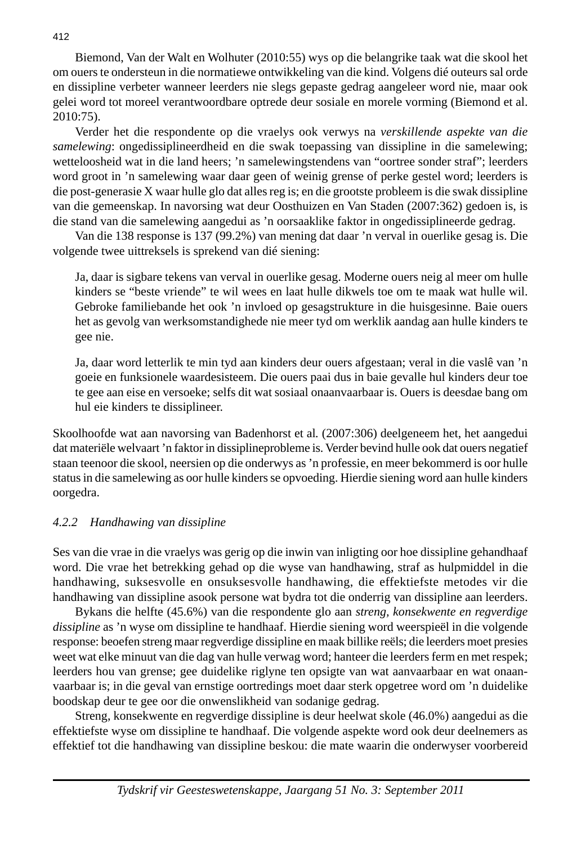Biemond, Van der Walt en Wolhuter (2010:55) wys op die belangrike taak wat die skool het om ouers te ondersteun in die normatiewe ontwikkeling van die kind. Volgens dié outeurs sal orde en dissipline verbeter wanneer leerders nie slegs gepaste gedrag aangeleer word nie, maar ook gelei word tot moreel verantwoordbare optrede deur sosiale en morele vorming (Biemond et al. 2010:75).

 Verder het die respondente op die vraelys ook verwys na *verskillende aspekte van die samelewing*: ongedissiplineerdheid en die swak toepassing van dissipline in die samelewing; wetteloosheid wat in die land heers; 'n samelewingstendens van "oortree sonder straf"; leerders word groot in 'n samelewing waar daar geen of weinig grense of perke gestel word; leerders is die post-generasie X waar hulle glo dat alles reg is; en die grootste probleem is die swak dissipline van die gemeenskap. In navorsing wat deur Oosthuizen en Van Staden (2007:362) gedoen is, is die stand van die samelewing aangedui as 'n oorsaaklike faktor in ongedissiplineerde gedrag.

 Van die 138 response is 137 (99.2%) van mening dat daar 'n verval in ouerlike gesag is. Die volgende twee uittreksels is sprekend van dié siening:

 Ja, daar is sigbare tekens van verval in ouerlike gesag. Moderne ouers neig al meer om hulle kinders se "beste vriende" te wil wees en laat hulle dikwels toe om te maak wat hulle wil. Gebroke familiebande het ook 'n invloed op gesagstrukture in die huisgesinne. Baie ouers het as gevolg van werksomstandighede nie meer tyd om werklik aandag aan hulle kinders te gee nie.

 Ja, daar word letterlik te min tyd aan kinders deur ouers afgestaan; veral in die vaslê van 'n goeie en funksionele waardesisteem. Die ouers paai dus in baie gevalle hul kinders deur toe te gee aan eise en versoeke; selfs dit wat sosiaal onaanvaarbaar is. Ouers is deesdae bang om hul eie kinders te dissiplineer.

Skoolhoofde wat aan navorsing van Badenhorst et al*.* (2007:306) deelgeneem het, het aangedui dat materiële welvaart 'n faktor in dissiplineprobleme is. Verder bevind hulle ook dat ouers negatief staan teenoor die skool, neersien op die onderwys as 'n professie, en meer bekommerd is oor hulle status in die samelewing as oor hulle kinders se opvoeding. Hierdie siening word aan hulle kinders oorgedra.

## *4.2.2 Handhawing van dissipline*

Ses van die vrae in die vraelys was gerig op die inwin van inligting oor hoe dissipline gehandhaaf word. Die vrae het betrekking gehad op die wyse van handhawing, straf as hulpmiddel in die handhawing, suksesvolle en onsuksesvolle handhawing, die effektiefste metodes vir die handhawing van dissipline asook persone wat bydra tot die onderrig van dissipline aan leerders.

 Bykans die helfte (45.6%) van die respondente glo aan *streng, konsekwente en regverdige dissipline* as 'n wyse om dissipline te handhaaf. Hierdie siening word weerspieël in die volgende response: beoefen streng maar regverdige dissipline en maak billike reëls; die leerders moet presies weet wat elke minuut van die dag van hulle verwag word; hanteer die leerders ferm en met respek; leerders hou van grense; gee duidelike riglyne ten opsigte van wat aanvaarbaar en wat onaanvaarbaar is; in die geval van ernstige oortredings moet daar sterk opgetree word om 'n duidelike boodskap deur te gee oor die onwenslikheid van sodanige gedrag.

 Streng, konsekwente en regverdige dissipline is deur heelwat skole (46.0%) aangedui as die effektiefste wyse om dissipline te handhaaf. Die volgende aspekte word ook deur deelnemers as effektief tot die handhawing van dissipline beskou: die mate waarin die onderwyser voorbereid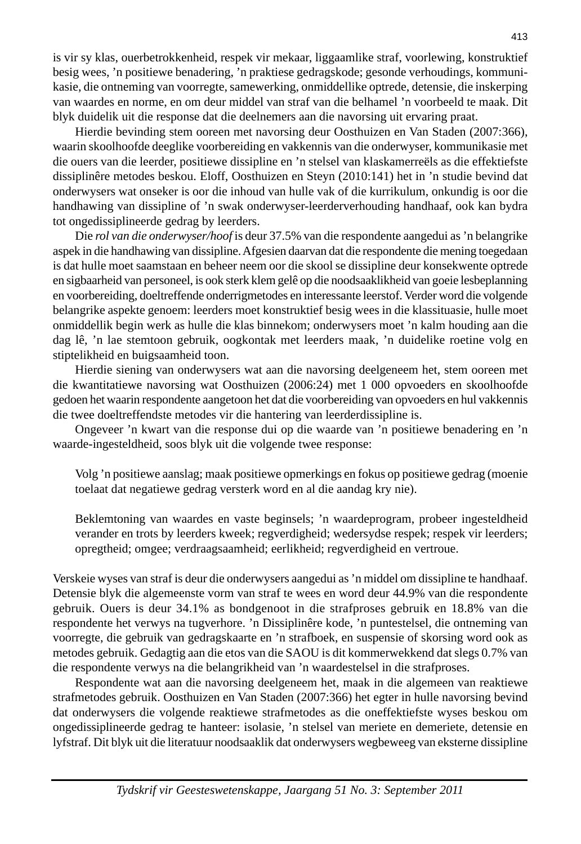is vir sy klas, ouerbetrokkenheid, respek vir mekaar, liggaamlike straf, voorlewing, konstruktief besig wees, 'n positiewe benadering, 'n praktiese gedragskode; gesonde verhoudings, kommunikasie, die ontneming van voorregte, samewerking, onmiddellike optrede, detensie, die inskerping van waardes en norme, en om deur middel van straf van die belhamel 'n voorbeeld te maak. Dit blyk duidelik uit die response dat die deelnemers aan die navorsing uit ervaring praat.

 Hierdie bevinding stem ooreen met navorsing deur Oosthuizen en Van Staden (2007:366), waarin skoolhoofde deeglike voorbereiding en vakkennis van die onderwyser, kommunikasie met die ouers van die leerder, positiewe dissipline en 'n stelsel van klaskamerreëls as die effektiefste dissiplinêre metodes beskou. Eloff, Oosthuizen en Steyn (2010:141) het in 'n studie bevind dat onderwysers wat onseker is oor die inhoud van hulle vak of die kurrikulum, onkundig is oor die handhawing van dissipline of 'n swak onderwyser-leerderverhouding handhaaf, ook kan bydra tot ongedissiplineerde gedrag by leerders.

 Die *rol van die onderwyser/hoof* is deur 37.5% van die respondente aangedui as 'n belangrike aspek in die handhawing van dissipline. Afgesien daarvan dat die respondente die mening toegedaan is dat hulle moet saamstaan en beheer neem oor die skool se dissipline deur konsekwente optrede en sigbaarheid van personeel, is ook sterk klem gelê op die noodsaaklikheid van goeie lesbeplanning en voorbereiding, doeltreffende onderrigmetodes en interessante leerstof. Verder word die volgende belangrike aspekte genoem: leerders moet konstruktief besig wees in die klassituasie, hulle moet onmiddellik begin werk as hulle die klas binnekom; onderwysers moet 'n kalm houding aan die dag lê, 'n lae stemtoon gebruik, oogkontak met leerders maak, 'n duidelike roetine volg en stiptelikheid en buigsaamheid toon.

 Hierdie siening van onderwysers wat aan die navorsing deelgeneem het, stem ooreen met die kwantitatiewe navorsing wat Oosthuizen (2006:24) met 1 000 opvoeders en skoolhoofde gedoen het waarin respondente aangetoon het dat die voorbereiding van opvoeders en hul vakkennis die twee doeltreffendste metodes vir die hantering van leerderdissipline is.

 Ongeveer 'n kwart van die response dui op die waarde van 'n positiewe benadering en 'n waarde-ingesteldheid, soos blyk uit die volgende twee response:

 Volg 'n positiewe aanslag; maak positiewe opmerkings en fokus op positiewe gedrag (moenie toelaat dat negatiewe gedrag versterk word en al die aandag kry nie).

 Beklemtoning van waardes en vaste beginsels; 'n waardeprogram, probeer ingesteldheid verander en trots by leerders kweek; regverdigheid; wedersydse respek; respek vir leerders; opregtheid; omgee; verdraagsaamheid; eerlikheid; regverdigheid en vertroue.

Verskeie wyses van straf is deur die onderwysers aangedui as 'n middel om dissipline te handhaaf. Detensie blyk die algemeenste vorm van straf te wees en word deur 44.9% van die respondente gebruik. Ouers is deur 34.1% as bondgenoot in die strafproses gebruik en 18.8% van die respondente het verwys na tugverhore. 'n Dissiplinêre kode, 'n puntestelsel, die ontneming van voorregte, die gebruik van gedragskaarte en 'n strafboek, en suspensie of skorsing word ook as metodes gebruik. Gedagtig aan die etos van die SAOU is dit kommerwekkend dat slegs 0.7% van die respondente verwys na die belangrikheid van 'n waardestelsel in die strafproses.

 Respondente wat aan die navorsing deelgeneem het, maak in die algemeen van reaktiewe strafmetodes gebruik. Oosthuizen en Van Staden (2007:366) het egter in hulle navorsing bevind dat onderwysers die volgende reaktiewe strafmetodes as die oneffektiefste wyses beskou om ongedissiplineerde gedrag te hanteer: isolasie, 'n stelsel van meriete en demeriete, detensie en lyfstraf. Dit blyk uit die literatuur noodsaaklik dat onderwysers wegbeweeg van eksterne dissipline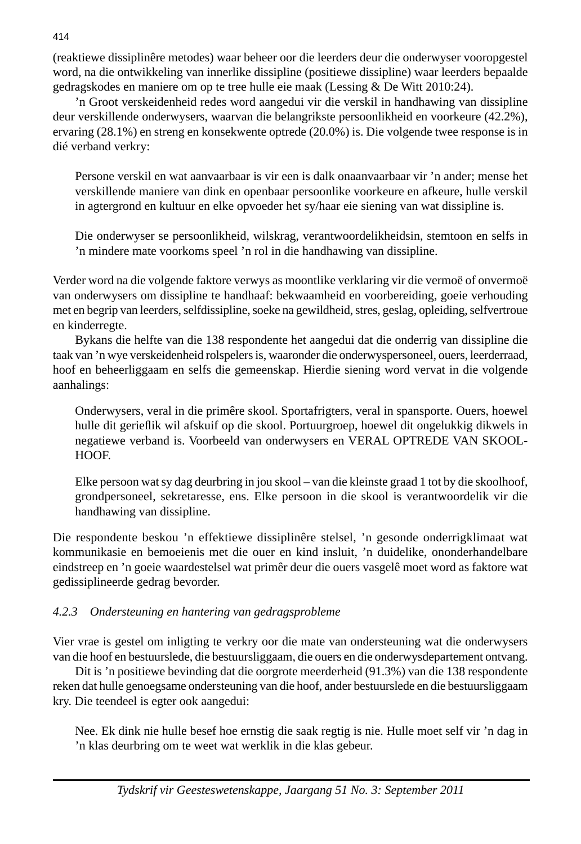(reaktiewe dissiplinêre metodes) waar beheer oor die leerders deur die onderwyser vooropgestel word, na die ontwikkeling van innerlike dissipline (positiewe dissipline) waar leerders bepaalde gedragskodes en maniere om op te tree hulle eie maak (Lessing & De Witt 2010:24).

 'n Groot verskeidenheid redes word aangedui vir die verskil in handhawing van dissipline deur verskillende onderwysers, waarvan die belangrikste persoonlikheid en voorkeure (42.2%), ervaring (28.1%) en streng en konsekwente optrede (20.0%) is. Die volgende twee response is in dié verband verkry:

 Persone verskil en wat aanvaarbaar is vir een is dalk onaanvaarbaar vir 'n ander; mense het verskillende maniere van dink en openbaar persoonlike voorkeure en afkeure, hulle verskil in agtergrond en kultuur en elke opvoeder het sy/haar eie siening van wat dissipline is.

 Die onderwyser se persoonlikheid, wilskrag, verantwoordelikheidsin, stemtoon en selfs in 'n mindere mate voorkoms speel 'n rol in die handhawing van dissipline.

Verder word na die volgende faktore verwys as moontlike verklaring vir die vermoë of onvermoë van onderwysers om dissipline te handhaaf: bekwaamheid en voorbereiding, goeie verhouding met en begrip van leerders, selfdissipline, soeke na gewildheid, stres, geslag, opleiding, selfvertroue en kinderregte.

 Bykans die helfte van die 138 respondente het aangedui dat die onderrig van dissipline die taak van 'n wye verskeidenheid rolspelers is, waaronder die onderwyspersoneel, ouers, leerderraad, hoof en beheerliggaam en selfs die gemeenskap. Hierdie siening word vervat in die volgende aanhalings:

 Onderwysers, veral in die primêre skool. Sportafrigters, veral in spansporte. Ouers, hoewel hulle dit gerieflik wil afskuif op die skool. Portuurgroep, hoewel dit ongelukkig dikwels in negatiewe verband is. Voorbeeld van onderwysers en VERAL OPTREDE VAN SKOOL-HOOF.

 Elke persoon wat sy dag deurbring in jou skool – van die kleinste graad 1 tot by die skoolhoof, grondpersoneel, sekretaresse, ens. Elke persoon in die skool is verantwoordelik vir die handhawing van dissipline.

Die respondente beskou 'n effektiewe dissiplinêre stelsel, 'n gesonde onderrigklimaat wat kommunikasie en bemoeienis met die ouer en kind insluit, 'n duidelike, ononderhandelbare eindstreep en 'n goeie waardestelsel wat primêr deur die ouers vasgelê moet word as faktore wat gedissiplineerde gedrag bevorder.

# *4.2.3 Ondersteuning en hantering van gedragsprobleme*

Vier vrae is gestel om inligting te verkry oor die mate van ondersteuning wat die onderwysers van die hoof en bestuurslede, die bestuursliggaam, die ouers en die onderwysdepartement ontvang.

 Dit is 'n positiewe bevinding dat die oorgrote meerderheid (91.3%) van die 138 respondente reken dat hulle genoegsame ondersteuning van die hoof, ander bestuurslede en die bestuursliggaam kry. Die teendeel is egter ook aangedui:

 Nee. Ek dink nie hulle besef hoe ernstig die saak regtig is nie. Hulle moet self vir 'n dag in 'n klas deurbring om te weet wat werklik in die klas gebeur.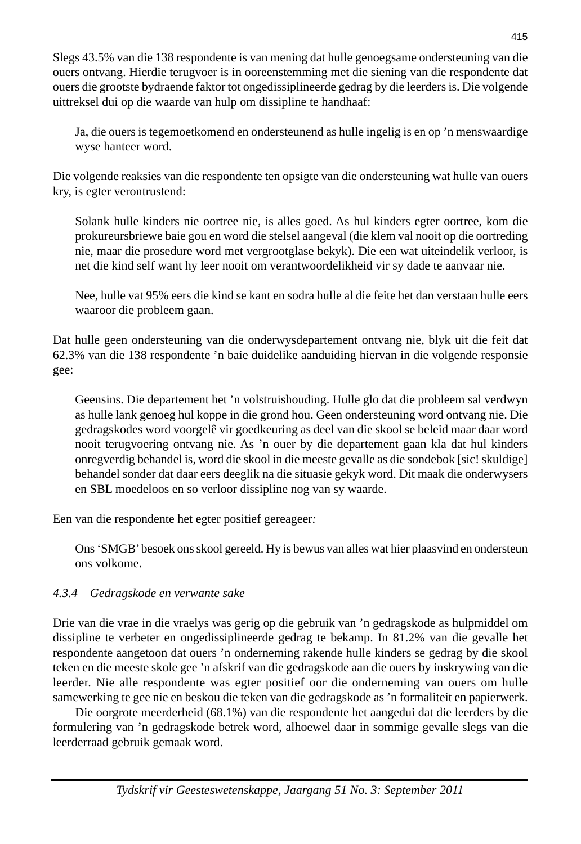Slegs 43.5% van die 138 respondente is van mening dat hulle genoegsame ondersteuning van die ouers ontvang. Hierdie terugvoer is in ooreenstemming met die siening van die respondente dat ouers die grootste bydraende faktor tot ongedissiplineerde gedrag by die leerders is. Die volgende uittreksel dui op die waarde van hulp om dissipline te handhaaf:

 Ja, die ouers is tegemoetkomend en ondersteunend as hulle ingelig is en op 'n menswaardige wyse hanteer word.

Die volgende reaksies van die respondente ten opsigte van die ondersteuning wat hulle van ouers kry, is egter verontrustend:

 Solank hulle kinders nie oortree nie, is alles goed. As hul kinders egter oortree, kom die prokureursbriewe baie gou en word die stelsel aangeval (die klem val nooit op die oortreding nie, maar die prosedure word met vergrootglase bekyk). Die een wat uiteindelik verloor, is net die kind self want hy leer nooit om verantwoordelikheid vir sy dade te aanvaar nie.

 Nee, hulle vat 95% eers die kind se kant en sodra hulle al die feite het dan verstaan hulle eers waaroor die probleem gaan.

Dat hulle geen ondersteuning van die onderwysdepartement ontvang nie, blyk uit die feit dat 62.3% van die 138 respondente 'n baie duidelike aanduiding hiervan in die volgende responsie gee:

 Geensins. Die departement het 'n volstruishouding. Hulle glo dat die probleem sal verdwyn as hulle lank genoeg hul koppe in die grond hou. Geen ondersteuning word ontvang nie. Die gedragskodes word voorgelê vir goedkeuring as deel van die skool se beleid maar daar word nooit terugvoering ontvang nie. As 'n ouer by die departement gaan kla dat hul kinders onregverdig behandel is, word die skool in die meeste gevalle as die sondebok [sic! skuldige] behandel sonder dat daar eers deeglik na die situasie gekyk word. Dit maak die onderwysers en SBL moedeloos en so verloor dissipline nog van sy waarde.

Een van die respondente het egter positief gereageer*:* 

 Ons 'SMGB' besoek ons skool gereeld. Hy is bewus van alles wat hier plaasvind en ondersteun ons volkome.

# *4.3.4 Gedragskode en verwante sake*

Drie van die vrae in die vraelys was gerig op die gebruik van 'n gedragskode as hulpmiddel om dissipline te verbeter en ongedissiplineerde gedrag te bekamp. In 81.2% van die gevalle het respondente aangetoon dat ouers 'n onderneming rakende hulle kinders se gedrag by die skool teken en die meeste skole gee 'n afskrif van die gedragskode aan die ouers by inskrywing van die leerder. Nie alle respondente was egter positief oor die onderneming van ouers om hulle samewerking te gee nie en beskou die teken van die gedragskode as 'n formaliteit en papierwerk.

 Die oorgrote meerderheid (68.1%) van die respondente het aangedui dat die leerders by die formulering van 'n gedragskode betrek word, alhoewel daar in sommige gevalle slegs van die leerderraad gebruik gemaak word.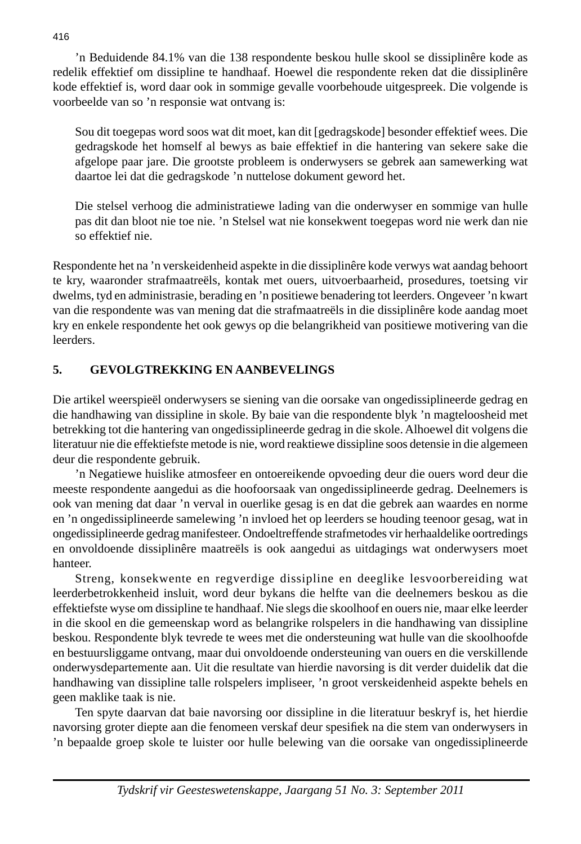'n Beduidende 84.1% van die 138 respondente beskou hulle skool se dissiplinêre kode as redelik effektief om dissipline te handhaaf. Hoewel die respondente reken dat die dissiplinêre kode effektief is, word daar ook in sommige gevalle voorbehoude uitgespreek. Die volgende is voorbeelde van so 'n responsie wat ontvang is:

 Sou dit toegepas word soos wat dit moet, kan dit [gedragskode] besonder effektief wees. Die gedragskode het homself al bewys as baie effektief in die hantering van sekere sake die afgelope paar jare. Die grootste probleem is onderwysers se gebrek aan samewerking wat daartoe lei dat die gedragskode 'n nuttelose dokument geword het.

 Die stelsel verhoog die administratiewe lading van die onderwyser en sommige van hulle pas dit dan bloot nie toe nie. 'n Stelsel wat nie konsekwent toegepas word nie werk dan nie so effektief nie.

Respondente het na 'n verskeidenheid aspekte in die dissiplinêre kode verwys wat aandag behoort te kry, waaronder strafmaatreëls, kontak met ouers, uitvoerbaarheid, prosedures, toetsing vir dwelms, tyd en administrasie, berading en 'n positiewe benadering tot leerders. Ongeveer 'n kwart van die respondente was van mening dat die strafmaatreëls in die dissiplinêre kode aandag moet kry en enkele respondente het ook gewys op die belangrikheid van positiewe motivering van die leerders.

# **5. GEVOLGTREKKING EN AANBEVELINGS**

Die artikel weerspieël onderwysers se siening van die oorsake van ongedissiplineerde gedrag en die handhawing van dissipline in skole. By baie van die respondente blyk 'n magteloosheid met betrekking tot die hantering van ongedissiplineerde gedrag in die skole. Alhoewel dit volgens die literatuur nie die effektiefste metode is nie, word reaktiewe dissipline soos detensie in die algemeen deur die respondente gebruik.

 'n Negatiewe huislike atmosfeer en ontoereikende opvoeding deur die ouers word deur die meeste respondente aangedui as die hoofoorsaak van ongedissiplineerde gedrag. Deelnemers is ook van mening dat daar 'n verval in ouerlike gesag is en dat die gebrek aan waardes en norme en 'n ongedissiplineerde samelewing 'n invloed het op leerders se houding teenoor gesag, wat in ongedissiplineerde gedrag manifesteer. Ondoeltreffende strafmetodes vir herhaaldelike oortredings en onvoldoende dissiplinêre maatreëls is ook aangedui as uitdagings wat onderwysers moet hanteer.

 Streng, konsekwente en regverdige dissipline en deeglike lesvoorbereiding wat leerderbetrokkenheid insluit, word deur bykans die helfte van die deelnemers beskou as die effektiefste wyse om dissipline te handhaaf. Nie slegs die skoolhoof en ouers nie, maar elke leerder in die skool en die gemeenskap word as belangrike rolspelers in die handhawing van dissipline beskou. Respondente blyk tevrede te wees met die ondersteuning wat hulle van die skoolhoofde en bestuursliggame ontvang, maar dui onvoldoende ondersteuning van ouers en die verskillende onderwysdepartemente aan. Uit die resultate van hierdie navorsing is dit verder duidelik dat die handhawing van dissipline talle rolspelers impliseer, 'n groot verskeidenheid aspekte behels en geen maklike taak is nie.

 Ten spyte daarvan dat baie navorsing oor dissipline in die literatuur beskryf is, het hierdie navorsing groter diepte aan die fenomeen verskaf deur spesifiek na die stem van onderwysers in 'n bepaalde groep skole te luister oor hulle belewing van die oorsake van ongedissiplineerde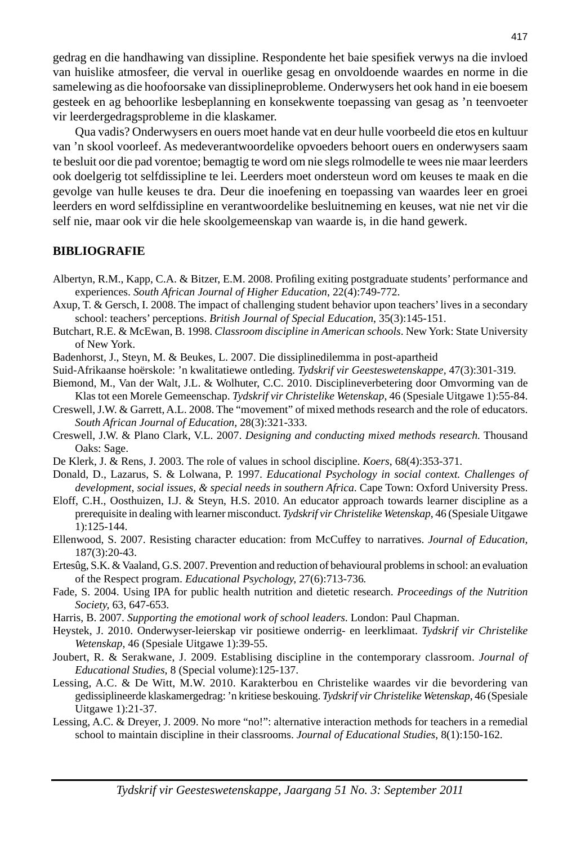gedrag en die handhawing van dissipline. Respondente het baie spesifiek verwys na die invloed van huislike atmosfeer, die verval in ouerlike gesag en onvoldoende waardes en norme in die samelewing as die hoofoorsake van dissiplineprobleme. Onderwysers het ook hand in eie boesem gesteek en ag behoorlike lesbeplanning en konsekwente toepassing van gesag as 'n teenvoeter vir leerdergedragsprobleme in die klaskamer.

 Qua vadis? Onderwysers en ouers moet hande vat en deur hulle voorbeeld die etos en kultuur van 'n skool voorleef. As medeverantwoordelike opvoeders behoort ouers en onderwysers saam te besluit oor die pad vorentoe; bemagtig te word om nie slegs rolmodelle te wees nie maar leerders ook doelgerig tot selfdissipline te lei. Leerders moet ondersteun word om keuses te maak en die gevolge van hulle keuses te dra. Deur die inoefening en toepassing van waardes leer en groei leerders en word selfdissipline en verantwoordelike besluitneming en keuses, wat nie net vir die self nie, maar ook vir die hele skoolgemeenskap van waarde is, in die hand gewerk.

#### **BIBLIOGRAFIE**

- Albertyn, R.M., Kapp, C.A. & Bitzer, E.M. 2008. Profiling exiting postgraduate students' performance and experiences. *South African Journal of Higher Education*, 22(4):749-772.
- Axup, T. & Gersch, I. 2008. The impact of challenging student behavior upon teachers' lives in a secondary school: teachers' perceptions. *British Journal of Special Education*, 35(3):145-151.
- Butchart, R.E. & McEwan, B. 1998. *Classroom discipline in American schools*. New York: State University of New York.
- Badenhorst, J., Steyn, M. & Beukes, L. 2007. Die dissiplinedilemma in post-apartheid
- Suid-Afrikaanse hoërskole: 'n kwalitatiewe ontleding. *Tydskrif vir Geesteswetenskappe,* 47(3):301-319*.*
- Biemond, M., Van der Walt, J.L. & Wolhuter, C.C. 2010. Disciplineverbetering door Omvorming van de Klas tot een Morele Gemeenschap. *Tydskrif vir Christelike Wetenskap*, 46 (Spesiale Uitgawe 1):55-84.
- Creswell, J.W. & Garrett, A.L. 2008. The "movement" of mixed methods research and the role of educators. *South African Journal of Education,* 28(3):321-333.
- Creswell, J.W. & Plano Clark, V.L. 2007. *Designing and conducting mixed methods research.* Thousand Oaks: Sage.
- De Klerk, J. & Rens, J. 2003. The role of values in school discipline. *Koers*, 68(4):353-371.
- Donald, D., Lazarus, S. & Lolwana, P. 1997. *Educational Psychology in social context. Challenges of development, social issues, & special needs in southern Africa*. Cape Town: Oxford University Press.
- Eloff, C.H., Oosthuizen, I.J. & Steyn, H.S. 2010. An educator approach towards learner discipline as a prerequisite in dealing with learner misconduct. *Tydskrif vir Christelike Wetenskap*, 46 (Spesiale Uitgawe 1):125-144.
- Ellenwood, S. 2007. Resisting character education: from McCuffey to narratives. *Journal of Education,*  187(3):20-43.
- Ertesûg, S.K. & Vaaland, G.S. 2007. Prevention and reduction of behavioural problems in school: an evaluation of the Respect program. *Educational Psychology,* 27(6):713-736*.*
- Fade, S. 2004. Using IPA for public health nutrition and dietetic research. *Proceedings of the Nutrition Society,* 63, 647-653.
- Harris, B. 2007. *Supporting the emotional work of school leaders*. London: Paul Chapman.
- Heystek, J. 2010. Onderwyser-leierskap vir positiewe onderrig- en leerklimaat. *Tydskrif vir Christelike Wetenskap*, 46 (Spesiale Uitgawe 1):39-55.
- Joubert, R. & Serakwane, J. 2009. Establising discipline in the contemporary classroom. *Journal of Educational Studies*, 8 (Special volume):125-137.
- Lessing, A.C. & De Witt, M.W. 2010. Karakterbou en Christelike waardes vir die bevordering van gedissiplineerde klaskamergedrag: 'n kritiese beskouing. *Tydskrif vir Christelike Wetenskap*, 46 (Spesiale Uitgawe 1):21-37.
- Lessing, A.C. & Dreyer, J. 2009. No more "no!": alternative interaction methods for teachers in a remedial school to maintain discipline in their classrooms. *Journal of Educational Studies*, 8(1):150-162.